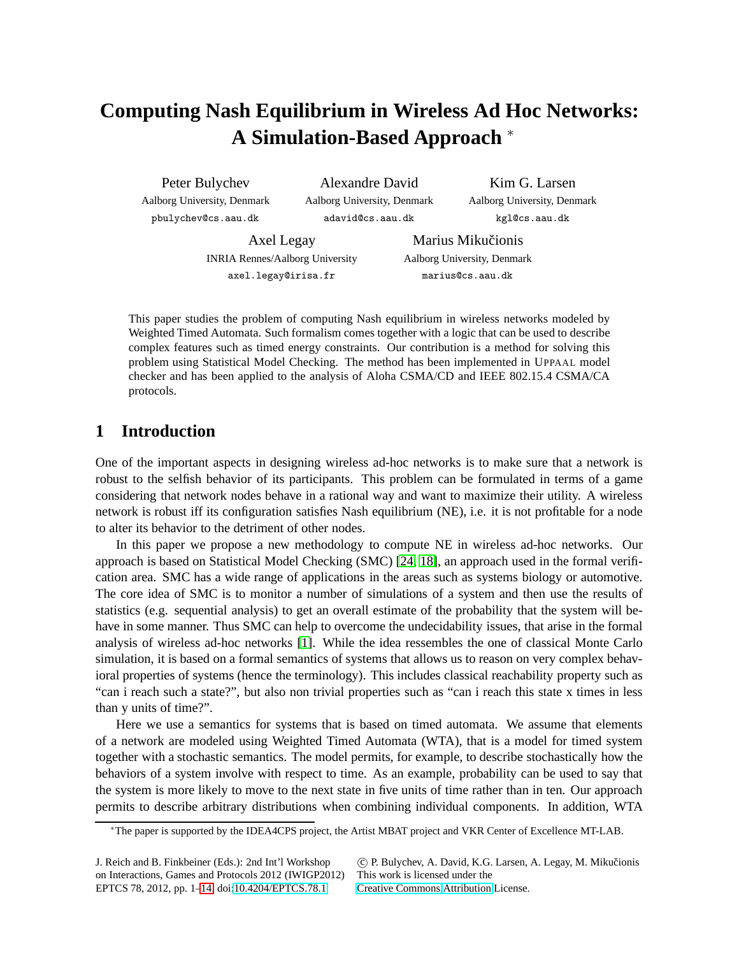# **Computing Nash Equilibrium in Wireless Ad Hoc Networks: A Simulation-Based Approach** <sup>∗</sup>

Peter Bulychev Aalborg University, Denmark pbulychev@cs.aau.dk

Alexandre David Aalborg University, Denmark adavid@cs.aau.dk

Kim G. Larsen Aalborg University, Denmark kgl@cs.aau.dk

Axel Legay INRIA Rennes/Aalborg University axel.legay@irisa.fr

Marius Mikučionis Aalborg University, Denmark marius@cs.aau.dk

This paper studies the problem of computing Nash equilibrium in wireless networks modeled by Weighted Timed Automata. Such formalism comes together with a logic that can be used to describe complex features such as timed energy constraints. Our contribution is a method for solving this problem using Statistical Model Checking. The method has been implemented in UPPAAL model checker and has been applied to the analysis of Aloha CSMA/CD and IEEE 802.15.4 CSMA/CA protocols.

# **1 Introduction**

One of the important aspects in designing wireless ad-hoc networks is to make sure that a network is robust to the selfish behavior of its participants. This problem can be formulated in terms of a game considering that network nodes behave in a rational way and want to maximize their utility. A wireless network is robust iff its configuration satisfies Nash equilibrium (NE), i.e. it is not profitable for a node to alter its behavior to the detriment of other nodes.

In this paper we propose a new methodology to compute NE in wireless ad-hoc networks. Our approach is based on Statistical Model Checking (SMC) [\[24,](#page-13-1) [18\]](#page-13-2), an approach used in the formal verification area. SMC has a wide range of applications in the areas such as systems biology or automotive. The core idea of SMC is to monitor a number of simulations of a system and then use the results of statistics (e.g. sequential analysis) to get an overall estimate of the probability that the system will behave in some manner. Thus SMC can help to overcome the undecidability issues, that arise in the formal analysis of wireless ad-hoc networks [\[1\]](#page-12-0). While the idea ressembles the one of classical Monte Carlo simulation, it is based on a formal semantics of systems that allows us to reason on very complex behavioral properties of systems (hence the terminology). This includes classical reachability property such as "can i reach such a state?", but also non trivial properties such as "can i reach this state x times in less than y units of time?".

Here we use a semantics for systems that is based on timed automata. We assume that elements of a network are modeled using Weighted Timed Automata (WTA), that is a model for timed system together with a stochastic semantics. The model permits, for example, to describe stochastically how the behaviors of a system involve with respect to time. As an example, probability can be used to say that the system is more likely to move to the next state in five units of time rather than in ten. Our approach permits to describe arbitrary distributions when combining individual components. In addition, WTA

<sup>∗</sup>The paper is supported by the IDEA4CPS project, the Artist MBAT project and VKR Center of Excellence MT-LAB.

J. Reich and B. Finkbeiner (Eds.): 2nd Int'l Workshop on Interactions, Games and Protocols 2012 (IWIGP2012) EPTCS 78, 2012, pp. 1[–14,](#page-13-0) doi[:10.4204/EPTCS.78.1](http://dx.doi.org/10.4204/EPTCS.78.1)

c P. Bulychev, A. David, K.G. Larsen, A. Legay, M. Mikuˇcionis This work is licensed under the

[Creative Commons](http://creativecommons.org) [Attribution](http://creativecommons.org/licenses/by/3.0/) License.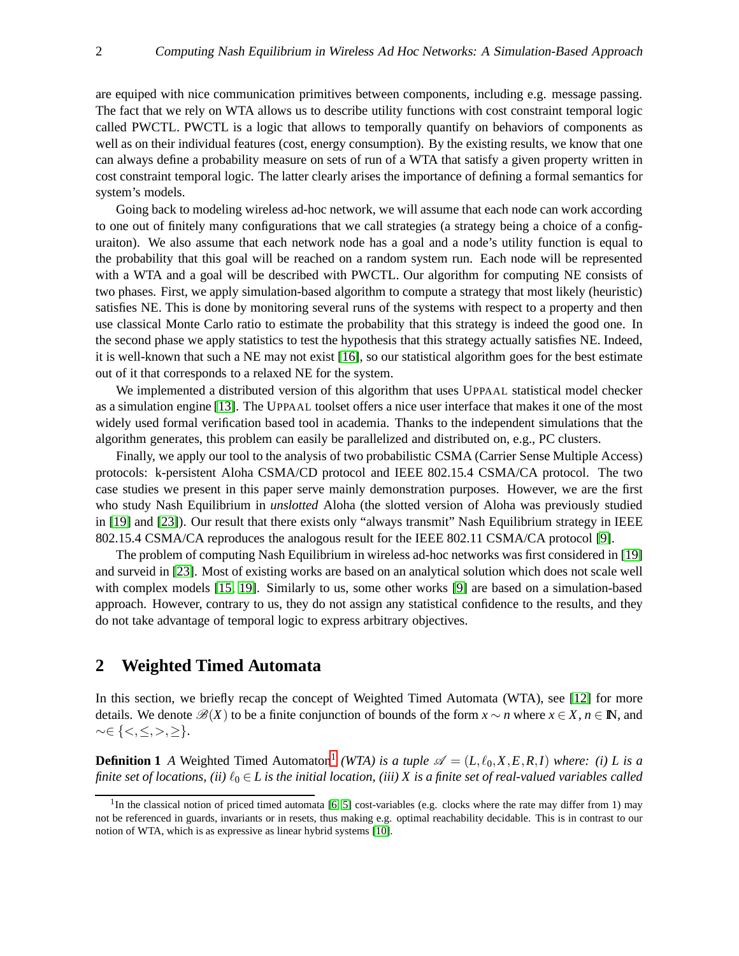are equiped with nice communication primitives between components, including e.g. message passing. The fact that we rely on WTA allows us to describe utility functions with cost constraint temporal logic called PWCTL. PWCTL is a logic that allows to temporally quantify on behaviors of components as well as on their individual features (cost, energy consumption). By the existing results, we know that one can always define a probability measure on sets of run of a WTA that satisfy a given property written in cost constraint temporal logic. The latter clearly arises the importance of defining a formal semantics for system's models.

Going back to modeling wireless ad-hoc network, we will assume that each node can work according to one out of finitely many configurations that we call strategies (a strategy being a choice of a configuraiton). We also assume that each network node has a goal and a node's utility function is equal to the probability that this goal will be reached on a random system run. Each node will be represented with a WTA and a goal will be described with PWCTL. Our algorithm for computing NE consists of two phases. First, we apply simulation-based algorithm to compute a strategy that most likely (heuristic) satisfies NE. This is done by monitoring several runs of the systems with respect to a property and then use classical Monte Carlo ratio to estimate the probability that this strategy is indeed the good one. In the second phase we apply statistics to test the hypothesis that this strategy actually satisfies NE. Indeed, it is well-known that such a NE may not exist [\[16\]](#page-13-3), so our statistical algorithm goes for the best estimate out of it that corresponds to a relaxed NE for the system.

We implemented a distributed version of this algorithm that uses UPPAAL statistical model checker as a simulation engine [\[13\]](#page-13-4). The UPPAAL toolset offers a nice user interface that makes it one of the most widely used formal verification based tool in academia. Thanks to the independent simulations that the algorithm generates, this problem can easily be parallelized and distributed on, e.g., PC clusters.

Finally, we apply our tool to the analysis of two probabilistic CSMA (Carrier Sense Multiple Access) protocols: k-persistent Aloha CSMA/CD protocol and IEEE 802.15.4 CSMA/CA protocol. The two case studies we present in this paper serve mainly demonstration purposes. However, we are the first who study Nash Equilibrium in *unslotted* Aloha (the slotted version of Aloha was previously studied in [\[19\]](#page-13-5) and [\[23\]](#page-13-6)). Our result that there exists only "always transmit" Nash Equilibrium strategy in IEEE 802.15.4 CSMA/CA reproduces the analogous result for the IEEE 802.11 CSMA/CA protocol [\[9\]](#page-12-1).

The problem of computing Nash Equilibrium in wireless ad-hoc networks was first considered in [\[19\]](#page-13-5) and surveid in [\[23\]](#page-13-6). Most of existing works are based on an analytical solution which does not scale well with complex models [\[15,](#page-13-7) [19\]](#page-13-5). Similarly to us, some other works [\[9\]](#page-12-1) are based on a simulation-based approach. However, contrary to us, they do not assign any statistical confidence to the results, and they do not take advantage of temporal logic to express arbitrary objectives.

# **2 Weighted Timed Automata**

In this section, we briefly recap the concept of Weighted Timed Automata (WTA), see [\[12\]](#page-13-8) for more details. We denote  $\mathscr{B}(X)$  to be a finite conjunction of bounds of the form  $x \sim n$  where  $x \in X, n \in \mathbb{N}$ , and ∼∈ {<,≤,>,≥}.

**Definition [1](#page-1-0)** *A* Weighted Timed Automaton<sup>1</sup> (WTA) is a tuple  $\mathscr{A} = (L, \ell_0, X, E, R, I)$  where: (i) *L* is a *finite set of locations, (ii)*  $\ell_0 \in L$  *is the initial location, (iii) X is a finite set of real-valued variables called* 

<span id="page-1-0"></span><sup>&</sup>lt;sup>1</sup>In the classical notion of priced timed automata [\[6,](#page-12-2) [5\]](#page-12-3) cost-variables (e.g. clocks where the rate may differ from 1) may not be referenced in guards, invariants or in resets, thus making e.g. optimal reachability decidable. This is in contrast to our notion of WTA, which is as expressive as linear hybrid systems [\[10\]](#page-12-4).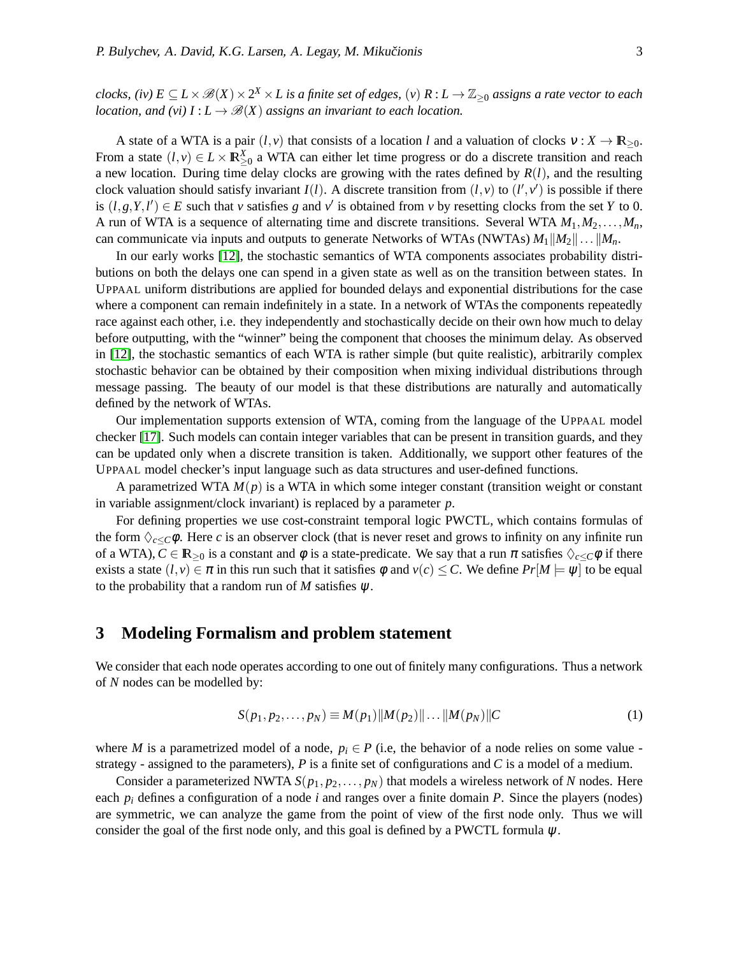*clocks, (iv)*  $E \subseteq L \times \mathscr{B}(X) \times 2^X \times L$  is a finite set of edges, (v)  $R: L \to \mathbb{Z}_{\geq 0}$  assigns a rate vector to each *location, and (vi)*  $I: L \to \mathcal{B}(X)$  *assigns an invariant to each location.* 

A state of a WTA is a pair  $(l, v)$  that consists of a location *l* and a valuation of clocks  $v : X \to \mathbb{R}_{\geq 0}$ . From a state  $(l, v) \in L \times \mathbb{R}^X_{\geq 0}$  a WTA can either let time progress or do a discrete transition and reach a new location. During time delay clocks are growing with the rates defined by  $R(l)$ , and the resulting clock valuation should satisfy invariant  $I(l)$ . A discrete transition from  $(l, v)$  to  $(l', v')$  is possible if there is  $(l, g, Y, l') \in E$  such that *v* satisfies *g* and *v*<sup> $\prime$ </sup> is obtained from *v* by resetting clocks from the set *Y* to 0. A run of WTA is a sequence of alternating time and discrete transitions. Several WTA  $M_1, M_2, \ldots, M_n$ , can communicate via inputs and outputs to generate Networks of WTAs (NWTAs)  $M_1||M_2|| \dots ||M_n$ .

In our early works [\[12\]](#page-13-8), the stochastic semantics of WTA components associates probability distributions on both the delays one can spend in a given state as well as on the transition between states. In UPPAAL uniform distributions are applied for bounded delays and exponential distributions for the case where a component can remain indefinitely in a state. In a network of WTAs the components repeatedly race against each other, i.e. they independently and stochastically decide on their own how much to delay before outputting, with the "winner" being the component that chooses the minimum delay. As observed in [\[12\]](#page-13-8), the stochastic semantics of each WTA is rather simple (but quite realistic), arbitrarily complex stochastic behavior can be obtained by their composition when mixing individual distributions through message passing. The beauty of our model is that these distributions are naturally and automatically defined by the network of WTAs.

Our implementation supports extension of WTA, coming from the language of the UPPAAL model checker [\[17\]](#page-13-9). Such models can contain integer variables that can be present in transition guards, and they can be updated only when a discrete transition is taken. Additionally, we support other features of the UPPAAL model checker's input language such as data structures and user-defined functions.

A parametrized WTA *M*(*p*) is a WTA in which some integer constant (transition weight or constant in variable assignment/clock invariant) is replaced by a parameter *p*.

For defining properties we use cost-constraint temporal logic PWCTL, which contains formulas of the form  $\Diamond_{c\lt C}\phi$ . Here *c* is an observer clock (that is never reset and grows to infinity on any infinite run of a WTA),  $C \in \mathbb{R}_{\geq 0}$  is a constant and  $\phi$  is a state-predicate. We say that a run  $\pi$  satisfies  $\Diamond_{c \leq C} \phi$  if there exists a state  $(l, v) \in \pi$  in this run such that it satisfies  $\phi$  and  $v(c) \leq C$ . We define  $Pr[M] = \psi$  to be equal to the probability that a random run of  $M$  satisfies  $\psi$ .

# **3 Modeling Formalism and problem statement**

We consider that each node operates according to one out of finitely many configurations. Thus a network of *N* nodes can be modelled by:

$$
S(p_1, p_2,..., p_N) \equiv M(p_1) \| M(p_2) \| ... \| M(p_N) \| C
$$
 (1)

where *M* is a parametrized model of a node,  $p_i \in P$  (i.e, the behavior of a node relies on some value strategy - assigned to the parameters), *P* is a finite set of configurations and *C* is a model of a medium.

Consider a parameterized NWTA  $S(p_1, p_2, \ldots, p_N)$  that models a wireless network of *N* nodes. Here each *p<sup>i</sup>* defines a configuration of a node *i* and ranges over a finite domain *P*. Since the players (nodes) are symmetric, we can analyze the game from the point of view of the first node only. Thus we will consider the goal of the first node only, and this goal is defined by a PWCTL formula  $\psi$ .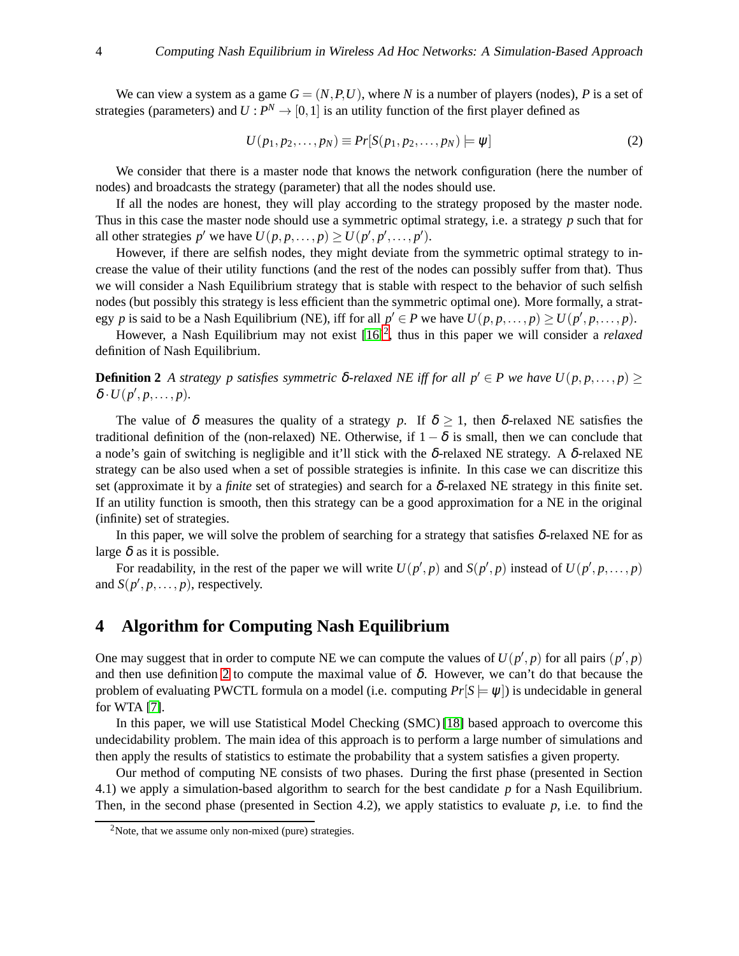We can view a system as a game  $G = (N, P, U)$ , where N is a number of players (nodes), P is a set of strategies (parameters) and  $U: P^N \to [0,1]$  is an utility function of the first player defined as

$$
U(p_1, p_2, \dots, p_N) \equiv Pr[S(p_1, p_2, \dots, p_N) \models \psi]
$$
\n<sup>(2)</sup>

We consider that there is a master node that knows the network configuration (here the number of nodes) and broadcasts the strategy (parameter) that all the nodes should use.

If all the nodes are honest, they will play according to the strategy proposed by the master node. Thus in this case the master node should use a symmetric optimal strategy, i.e. a strategy *p* such that for all other strategies  $p'$  we have  $U(p, p, \ldots, p) \ge U(p', p', \ldots, p').$ 

However, if there are selfish nodes, they might deviate from the symmetric optimal strategy to increase the value of their utility functions (and the rest of the nodes can possibly suffer from that). Thus we will consider a Nash Equilibrium strategy that is stable with respect to the behavior of such selfish nodes (but possibly this strategy is less efficient than the symmetric optimal one). More formally, a strategy *p* is said to be a Nash Equilibrium (NE), iff for all  $p' \in P$  we have  $U(p, p, \ldots, p) \ge U(p', p, \ldots, p)$ .

<span id="page-3-1"></span>However, a Nash Equilibrium may not exist  $[16]^2$  $[16]^2$ , thus in this paper we will consider a *relaxed* definition of Nash Equilibrium.

**Definition 2** *A strategy p satisfies symmetric* δ*-relaxed NE iff for all p'* ∈ *P* we have  $U(p, p, ..., p)$  ≥  $\delta \cdot U(p', p, \ldots, p).$ 

The value of  $\delta$  measures the quality of a strategy p. If  $\delta \geq 1$ , then  $\delta$ -relaxed NE satisfies the traditional definition of the (non-relaxed) NE. Otherwise, if  $1 - \delta$  is small, then we can conclude that a node's gain of switching is negligible and it'll stick with the δ-relaxed NE strategy. A δ-relaxed NE strategy can be also used when a set of possible strategies is infinite. In this case we can discritize this set (approximate it by a *finite* set of strategies) and search for a  $\delta$ -relaxed NE strategy in this finite set. If an utility function is smooth, then this strategy can be a good approximation for a NE in the original (infinite) set of strategies.

In this paper, we will solve the problem of searching for a strategy that satisfies  $\delta$ -relaxed NE for as large  $\delta$  as it is possible.

For readability, in the rest of the paper we will write  $U(p', p)$  and  $S(p', p)$  instead of  $U(p', p, \ldots, p)$ and  $S(p', p, \ldots, p)$ , respectively.

# **4 Algorithm for Computing Nash Equilibrium**

One may suggest that in order to compute NE we can compute the values of  $U(p', p)$  for all pairs  $(p', p)$ and then use definition [2](#page-3-1) to compute the maximal value of  $\delta$ . However, we can't do that because the problem of evaluating PWCTL formula on a model (i.e. computing  $Pr[S \models \psi]$ ) is undecidable in general for WTA [\[7\]](#page-12-5).

In this paper, we will use Statistical Model Checking (SMC) [\[18\]](#page-13-2) based approach to overcome this undecidability problem. The main idea of this approach is to perform a large number of simulations and then apply the results of statistics to estimate the probability that a system satisfies a given property.

Our method of computing NE consists of two phases. During the first phase (presented in Section 4.1) we apply a simulation-based algorithm to search for the best candidate *p* for a Nash Equilibrium. Then, in the second phase (presented in Section 4.2), we apply statistics to evaluate *p*, i.e. to find the

<span id="page-3-0"></span><sup>2</sup>Note, that we assume only non-mixed (pure) strategies.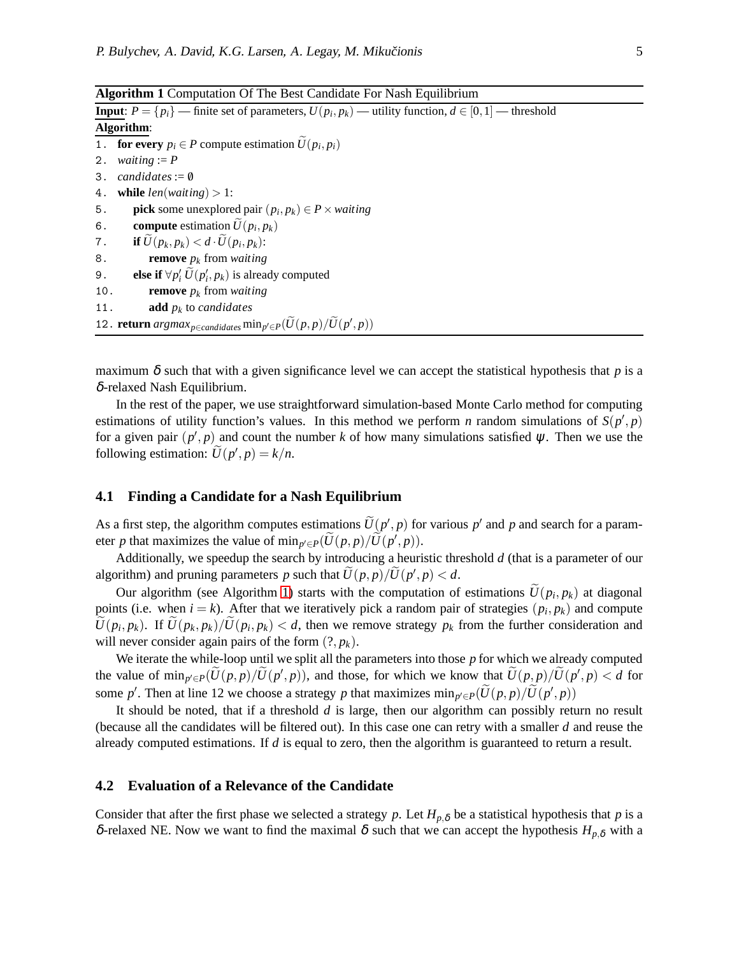<span id="page-4-0"></span>

| <b>Input:</b> $P = \{p_i\}$ — finite set of parameters, $U(p_i, p_k)$ — utility function, $d \in [0, 1]$ — threshold |                                                                     |  |  |  |  |  |
|----------------------------------------------------------------------------------------------------------------------|---------------------------------------------------------------------|--|--|--|--|--|
| Algorithm:                                                                                                           |                                                                     |  |  |  |  |  |
|                                                                                                                      | 1. <b>for every</b> $p_i \in P$ compute estimation $U(p_i, p_i)$    |  |  |  |  |  |
|                                                                                                                      | 2. <i>waiting</i> := $P$                                            |  |  |  |  |  |
|                                                                                                                      | 3. candidates:= $\emptyset$                                         |  |  |  |  |  |
|                                                                                                                      | 4. while $len(waiting) > 1$ :                                       |  |  |  |  |  |
| 5.                                                                                                                   | <b>pick</b> some unexplored pair $(p_i, p_k) \in P \times waiting$  |  |  |  |  |  |
| 6.                                                                                                                   | <b>compute</b> estimation $\bar{U}(p_i, p_k)$                       |  |  |  |  |  |
|                                                                                                                      | 7. if $\widetilde{U}(p_k, p_k) < d \cdot \widetilde{U}(p_i, p_k)$ : |  |  |  |  |  |
| 8.                                                                                                                   | <b>remove</b> $p_k$ from <i>waiting</i>                             |  |  |  |  |  |
| 9.                                                                                                                   | else if $\forall p'_i \widetilde{U}(p'_i, p_k)$ is already computed |  |  |  |  |  |
| 10.                                                                                                                  | <b>remove</b> $p_k$ from <i>waiting</i>                             |  |  |  |  |  |
| 11.                                                                                                                  | <b>add</b> $p_k$ to <i>candidates</i>                               |  |  |  |  |  |
| 12. <b>return</b> $argmax_{p \in candidates} \min_{p' \in P} (\widetilde{U}(p, p) / \widetilde{U}(p', p))$           |                                                                     |  |  |  |  |  |

maximum  $\delta$  such that with a given significance level we can accept the statistical hypothesis that  $p$  is a δ-relaxed Nash Equilibrium.

In the rest of the paper, we use straightforward simulation-based Monte Carlo method for computing estimations of utility function's values. In this method we perform *n* random simulations of  $S(p', p)$ for a given pair  $(p', p)$  and count the number k of how many simulations satisfied  $\psi$ . Then we use the following estimation:  $U(p', p) = k/n$ .

#### **4.1 Finding a Candidate for a Nash Equilibrium**

As a first step, the algorithm computes estimations  $U(p', p)$  for various  $p'$  and  $p$  and search for a parameter *p* that maximizes the value of  $\min_{p' \in P} (U(p, p) / U(p', p)).$ 

Additionally, we speedup the search by introducing a heuristic threshold *d* (that is a parameter of our algorithm) and pruning parameters *p* such that  $U(p, p)/U(p', p) < d$ .

Our algorithm (see Algorithm [1\)](#page-4-0) starts with the computation of estimations  $U(p_i, p_k)$  at diagonal points (i.e. when  $i = k$ ). After that we iteratively pick a random pair of strategies  $(p_i, p_k)$  and compute  $U(p_i, p_k)$ . If  $U(p_k, p_k)/U(p_i, p_k) < d$ , then we remove strategy  $p_k$  from the further consideration and will never consider again pairs of the form  $(?, p_k)$ .

We iterate the while-loop until we split all the parameters into those *p* for which we already computed the value of  $\min_{p' \in P} (U(p, p) / U(p', p))$ , and those, for which we know that  $U(p, p) / U(p', p) < d$  for some *p*'. Then at line 12 we choose a strategy *p* that maximizes  $\min_{p' \in P} (U(p, p) / U(p', p))$ 

It should be noted, that if a threshold *d* is large, then our algorithm can possibly return no result (because all the candidates will be filtered out). In this case one can retry with a smaller *d* and reuse the already computed estimations. If *d* is equal to zero, then the algorithm is guaranteed to return a result.

#### **4.2 Evaluation of a Relevance of the Candidate**

Consider that after the first phase we selected a strategy p. Let  $H_{p,\delta}$  be a statistical hypothesis that p is a δ-relaxed NE. Now we want to find the maximal δ such that we can accept the hypothesis  $H_{p,\delta}$  with a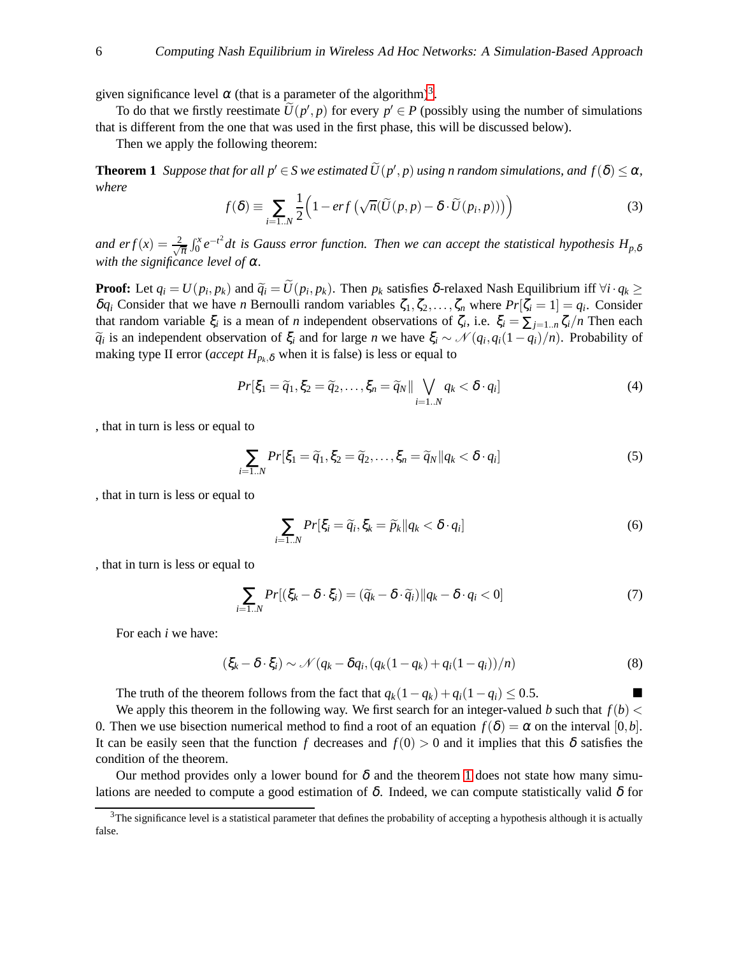given significance level  $\alpha$  (that is a parameter of the algorithm)<sup>[3](#page-5-0)</sup>.

To do that we firstly reestimate  $U(p', p)$  for every  $p' \in P$  (possibly using the number of simulations that is different from the one that was used in the first phase, this will be discussed below).

<span id="page-5-1"></span>Then we apply the following theorem:

**Theorem 1** *Suppose that for all*  $p' \in S$  *we estimated*  $U(p', p)$  *using n random simulations, and*  $f(\delta) \leq \alpha$ *, where*

$$
f(\delta) \equiv \sum_{i=1..N} \frac{1}{2} \Big( 1 - erf\left(\sqrt{n}(\widetilde{U}(p,p) - \delta \cdot \widetilde{U}(p_i, p))\right) \Big) \tag{3}
$$

and  $erf(x) = \frac{2}{\sqrt{\pi}} \int_0^x e^{-t^2} dt$  is Gauss error function. Then we can accept the statistical hypothesis  $H_{p,\delta}$ *with the significance level of* <sup>α</sup>*.*

**Proof:** Let  $q_i = U(p_i, p_k)$  and  $\widetilde{q}_i = U(p_i, p_k)$ . Then  $p_k$  satisfies  $\delta$ -relaxed Nash Equilibrium iff  $\forall i \cdot q_k \geq$  $\delta q_i$  Consider that we have *n* Bernoulli random variables  $\zeta_1, \zeta_2, \ldots, \zeta_n$  where  $Pr[\zeta_i = 1] = q_i$ . Consider that random variable  $\xi_i$  is a mean of *n* independent observations of  $\zeta_i$ , i.e.  $\xi_i = \sum_{j=1...n} \zeta_i/n$  Then each  $\widetilde{q}_i$  is an independent observation of  $\xi_i$  and for large *n* we have  $\xi_i \sim \mathcal{N}(q_i, q_i(1-q_i)/n)$ . Probability of making type II error (*accept*  $H_{p_k,\delta}$  when it is false) is less or equal to

$$
Pr[\xi_1 = \widetilde{q}_1, \xi_2 = \widetilde{q}_2, \dots, \xi_n = \widetilde{q}_N || \bigvee_{i=1..N} q_k < \delta \cdot q_i] \tag{4}
$$

, that in turn is less or equal to

$$
\sum_{i=1..N} Pr[\xi_1 = \widetilde{q}_1, \xi_2 = \widetilde{q}_2, \dots, \xi_n = \widetilde{q}_N || q_k < \delta \cdot q_i] \tag{5}
$$

, that in turn is less or equal to

$$
\sum_{i=1..N} Pr[\xi_i = \widetilde{q}_i, \xi_k = \widetilde{p}_k || q_k < \delta \cdot q_i] \tag{6}
$$

, that in turn is less or equal to

$$
\sum_{i=1..N} Pr[(\xi_k - \delta \cdot \xi_i) = (\widetilde{q}_k - \delta \cdot \widetilde{q}_i) || q_k - \delta \cdot q_i < 0] \tag{7}
$$

For each *i* we have:

$$
(\xi_k - \delta \cdot \xi_i) \sim \mathcal{N}(q_k - \delta q_i, (q_k(1 - q_k) + q_i(1 - q_i))/n)
$$
\n(8)

The truth of the theorem follows from the fact that  $q_k(1-q_k) + q_i(1-q_i) \leq 0.5$ .

We apply this theorem in the following way. We first search for an integer-valued *b* such that  $f(b)$  < 0. Then we use bisection numerical method to find a root of an equation  $f(\delta) = \alpha$  on the interval [0,*b*]. It can be easily seen that the function *f* decreases and  $f(0) > 0$  and it implies that this  $\delta$  satisfies the condition of the theorem.

Our method provides only a lower bound for  $\delta$  and the theorem [1](#page-5-1) does not state how many simulations are needed to compute a good estimation of  $\delta$ . Indeed, we can compute statistically valid  $\delta$  for

<span id="page-5-0"></span> $3$ The significance level is a statistical parameter that defines the probability of accepting a hypothesis although it is actually false.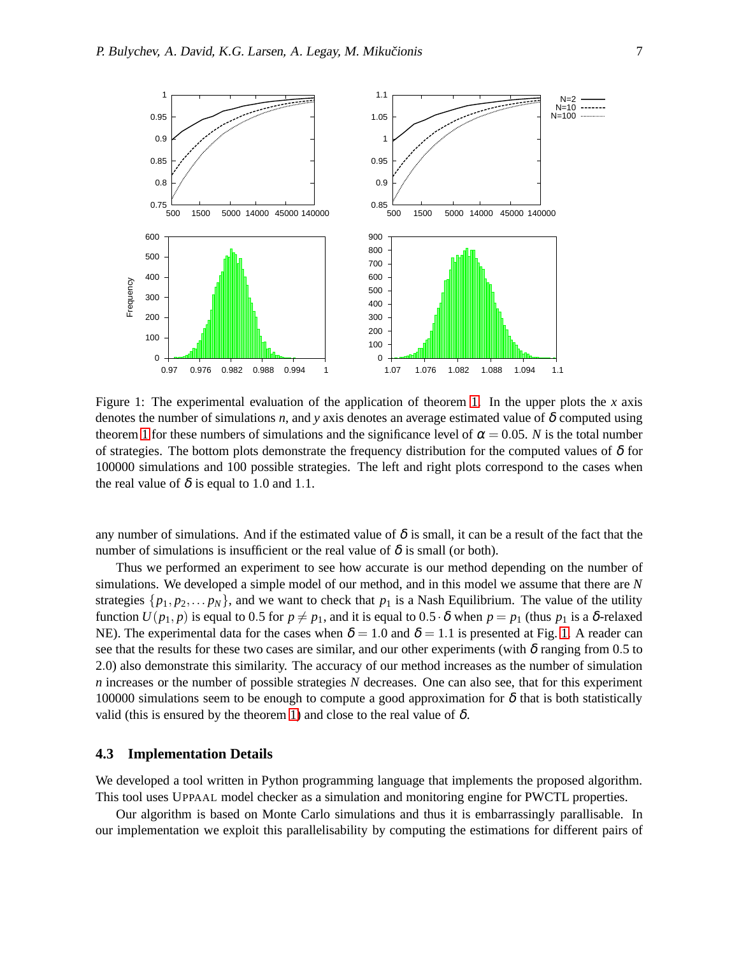

<span id="page-6-0"></span>Figure 1: The experimental evaluation of the application of theorem [1.](#page-5-1) In the upper plots the *x* axis denotes the number of simulations *n*, and *y* axis denotes an average estimated value of  $\delta$  computed using theorem [1](#page-5-1) for these numbers of simulations and the significance level of  $\alpha = 0.05$ . *N* is the total number of strategies. The bottom plots demonstrate the frequency distribution for the computed values of  $\delta$  for 100000 simulations and 100 possible strategies. The left and right plots correspond to the cases when the real value of  $\delta$  is equal to 1.0 and 1.1.

any number of simulations. And if the estimated value of  $\delta$  is small, it can be a result of the fact that the number of simulations is insufficient or the real value of  $\delta$  is small (or both).

Thus we performed an experiment to see how accurate is our method depending on the number of simulations. We developed a simple model of our method, and in this model we assume that there are *N* strategies  $\{p_1, p_2, \ldots, p_N\}$ , and we want to check that  $p_1$  is a Nash Equilibrium. The value of the utility function  $U(p_1, p)$  is equal to 0.5 for  $p \neq p_1$ , and it is equal to 0.5  $\cdot$   $\delta$  when  $p = p_1$  (thus  $p_1$  is a  $\delta$ -relaxed NE). The experimental data for the cases when  $\delta = 1.0$  $\delta = 1.0$  $\delta = 1.0$  and  $\delta = 1.1$  is presented at Fig. 1. A reader can see that the results for these two cases are similar, and our other experiments (with  $\delta$  ranging from 0.5 to 2.0) also demonstrate this similarity. The accuracy of our method increases as the number of simulation *n* increases or the number of possible strategies *N* decreases. One can also see, that for this experiment 100000 simulations seem to be enough to compute a good approximation for  $\delta$  that is both statistically valid (this is ensured by the theorem [1\)](#page-5-1) and close to the real value of  $\delta$ .

#### **4.3 Implementation Details**

We developed a tool written in Python programming language that implements the proposed algorithm. This tool uses UPPAAL model checker as a simulation and monitoring engine for PWCTL properties.

Our algorithm is based on Monte Carlo simulations and thus it is embarrassingly parallisable. In our implementation we exploit this parallelisability by computing the estimations for different pairs of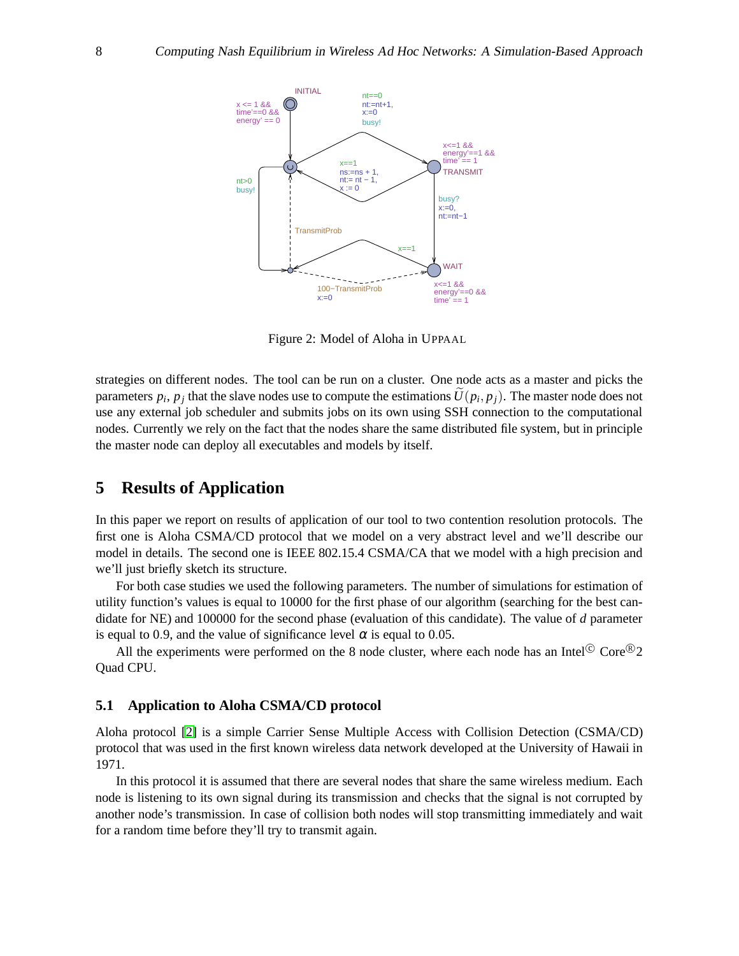

<span id="page-7-0"></span>Figure 2: Model of Aloha in UPPAAL

strategies on different nodes. The tool can be run on a cluster. One node acts as a master and picks the parameters  $p_i$ ,  $p_j$  that the slave nodes use to compute the estimations  $U(p_i, p_j)$ . The master node does not use any external job scheduler and submits jobs on its own using SSH connection to the computational nodes. Currently we rely on the fact that the nodes share the same distributed file system, but in principle the master node can deploy all executables and models by itself.

# **5 Results of Application**

In this paper we report on results of application of our tool to two contention resolution protocols. The first one is Aloha CSMA/CD protocol that we model on a very abstract level and we'll describe our model in details. The second one is IEEE 802.15.4 CSMA/CA that we model with a high precision and we'll just briefly sketch its structure.

For both case studies we used the following parameters. The number of simulations for estimation of utility function's values is equal to 10000 for the first phase of our algorithm (searching for the best candidate for NE) and 100000 for the second phase (evaluation of this candidate). The value of *d* parameter is equal to 0.9, and the value of significance level  $\alpha$  is equal to 0.05.

All the experiments were performed on the 8 node cluster, where each node has an Intel $^{\circ}$  Core $^{\circ}$ 2 Quad CPU.

#### **5.1 Application to Aloha CSMA/CD protocol**

Aloha protocol [\[2\]](#page-12-6) is a simple Carrier Sense Multiple Access with Collision Detection (CSMA/CD) protocol that was used in the first known wireless data network developed at the University of Hawaii in 1971.

In this protocol it is assumed that there are several nodes that share the same wireless medium. Each node is listening to its own signal during its transmission and checks that the signal is not corrupted by another node's transmission. In case of collision both nodes will stop transmitting immediately and wait for a random time before they'll try to transmit again.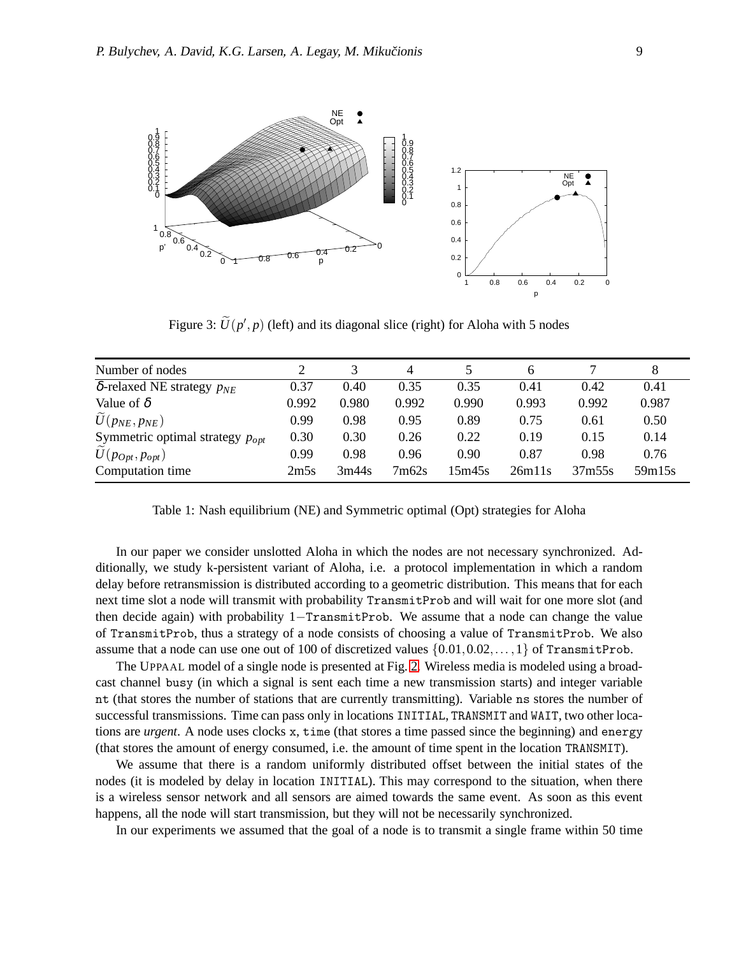

<span id="page-8-0"></span>Figure 3:  $U(p', p)$  (left) and its diagonal slice (right) for Aloha with 5 nodes

| Number of nodes                        |       |       | 4     |        | 6      |        |        |
|----------------------------------------|-------|-------|-------|--------|--------|--------|--------|
| $\delta$ -relaxed NE strategy $p_{NE}$ | 0.37  | 0.40  | 0.35  | 0.35   | 0.41   | 0.42   | 0.41   |
| Value of $\delta$                      | 0.992 | 0.980 | 0.992 | 0.990  | 0.993  | 0.992  | 0.987  |
| $\widetilde{U}(p_{NE}, p_{NE})$        | 0.99  | 0.98  | 0.95  | 0.89   | 0.75   | 0.61   | 0.50   |
| Symmetric optimal strategy $p_{opt}$   | 0.30  | 0.30  | 0.26  | 0.22   | 0.19   | 0.15   | 0.14   |
| $\widetilde{U}(p_{Opt}, p_{opt})$      | 0.99  | 0.98  | 0.96  | 0.90   | 0.87   | 0.98   | 0.76   |
| Computation time                       | 2m5s  | 3m44s | 7m62s | 15m45s | 26m11s | 37m55s | 59m15s |

<span id="page-8-1"></span>Table 1: Nash equilibrium (NE) and Symmetric optimal (Opt) strategies for Aloha

In our paper we consider unslotted Aloha in which the nodes are not necessary synchronized. Additionally, we study k-persistent variant of Aloha, i.e. a protocol implementation in which a random delay before retransmission is distributed according to a geometric distribution. This means that for each next time slot a node will transmit with probability TransmitProb and will wait for one more slot (and then decide again) with probability 1−TransmitProb. We assume that a node can change the value of TransmitProb, thus a strategy of a node consists of choosing a value of TransmitProb. We also assume that a node can use one out of 100 of discretized values  $\{0.01, 0.02, \ldots, 1\}$  of TransmitProb.

The UPPAAL model of a single node is presented at Fig. [2.](#page-7-0) Wireless media is modeled using a broadcast channel busy (in which a signal is sent each time a new transmission starts) and integer variable nt (that stores the number of stations that are currently transmitting). Variable ns stores the number of successful transmissions. Time can pass only in locations INITIAL, TRANSMIT and WAIT, two other locations are *urgent*. A node uses clocks x, time (that stores a time passed since the beginning) and energy (that stores the amount of energy consumed, i.e. the amount of time spent in the location TRANSMIT).

We assume that there is a random uniformly distributed offset between the initial states of the nodes (it is modeled by delay in location INITIAL). This may correspond to the situation, when there is a wireless sensor network and all sensors are aimed towards the same event. As soon as this event happens, all the node will start transmission, but they will not be necessarily synchronized.

In our experiments we assumed that the goal of a node is to transmit a single frame within 50 time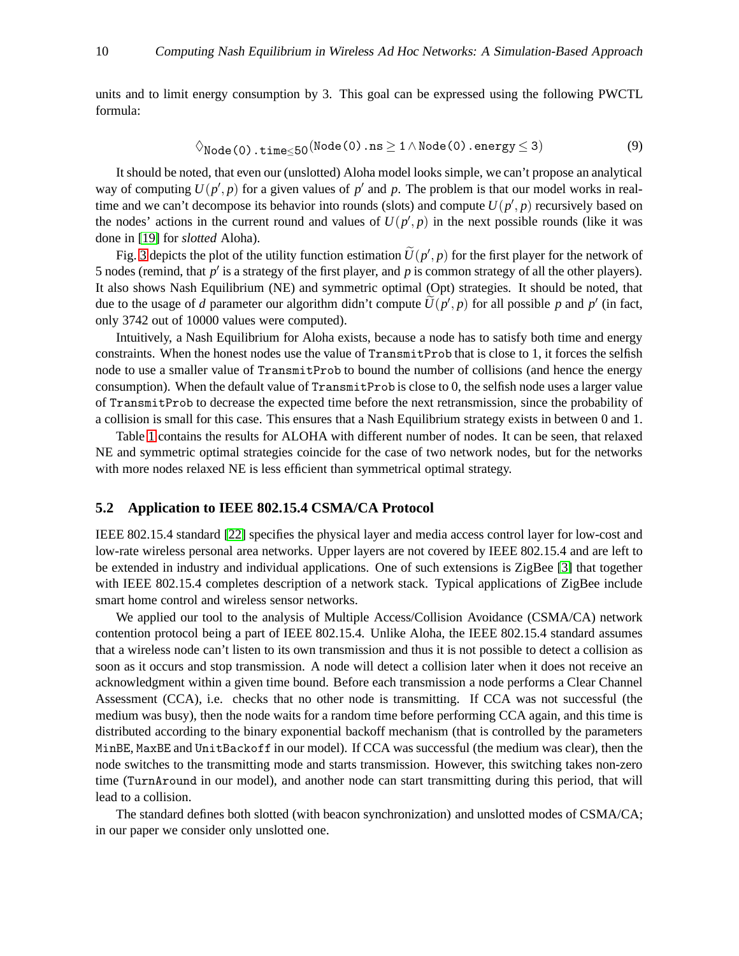units and to limit energy consumption by 3. This goal can be expressed using the following PWCTL formula:

$$
\Diamond_{\text{Node}(0),\text{time}\leq 50}(\text{Node}(0),\text{ns}\geq 1 \land \text{Node}(0),\text{energy}\leq 3)
$$
\n(9)

It should be noted, that even our (unslotted) Aloha model looks simple, we can't propose an analytical way of computing  $U(p', p)$  for a given values of  $p'$  and  $p$ . The problem is that our model works in realtime and we can't decompose its behavior into rounds (slots) and compute  $U(p', p)$  recursively based on the nodes' actions in the current round and values of  $U(p', p)$  in the next possible rounds (like it was done in [\[19\]](#page-13-5) for *slotted* Aloha).

Fig. [3](#page-8-0) depicts the plot of the utility function estimation  $U(p', p)$  for the first player for the network of 5 nodes (remind, that *p* ′ is a strategy of the first player, and *p* is common strategy of all the other players). It also shows Nash Equilibrium (NE) and symmetric optimal (Opt) strategies. It should be noted, that due to the usage of *d* parameter our algorithm didn't compute  $U(p', p)$  for all possible *p* and  $p'$  (in fact, only 3742 out of 10000 values were computed).

Intuitively, a Nash Equilibrium for Aloha exists, because a node has to satisfy both time and energy constraints. When the honest nodes use the value of TransmitProb that is close to 1, it forces the selfish node to use a smaller value of TransmitProb to bound the number of collisions (and hence the energy consumption). When the default value of TransmitProb is close to 0, the selfish node uses a larger value of TransmitProb to decrease the expected time before the next retransmission, since the probability of a collision is small for this case. This ensures that a Nash Equilibrium strategy exists in between 0 and 1.

Table [1](#page-8-1) contains the results for ALOHA with different number of nodes. It can be seen, that relaxed NE and symmetric optimal strategies coincide for the case of two network nodes, but for the networks with more nodes relaxed NE is less efficient than symmetrical optimal strategy.

#### **5.2 Application to IEEE 802.15.4 CSMA/CA Protocol**

IEEE 802.15.4 standard [\[22\]](#page-13-10) specifies the physical layer and media access control layer for low-cost and low-rate wireless personal area networks. Upper layers are not covered by IEEE 802.15.4 and are left to be extended in industry and individual applications. One of such extensions is ZigBee [\[3\]](#page-12-7) that together with IEEE 802.15.4 completes description of a network stack. Typical applications of ZigBee include smart home control and wireless sensor networks.

We applied our tool to the analysis of Multiple Access/Collision Avoidance (CSMA/CA) network contention protocol being a part of IEEE 802.15.4. Unlike Aloha, the IEEE 802.15.4 standard assumes that a wireless node can't listen to its own transmission and thus it is not possible to detect a collision as soon as it occurs and stop transmission. A node will detect a collision later when it does not receive an acknowledgment within a given time bound. Before each transmission a node performs a Clear Channel Assessment (CCA), i.e. checks that no other node is transmitting. If CCA was not successful (the medium was busy), then the node waits for a random time before performing CCA again, and this time is distributed according to the binary exponential backoff mechanism (that is controlled by the parameters MinBE, MaxBE and UnitBackoff in our model). If CCA was successful (the medium was clear), then the node switches to the transmitting mode and starts transmission. However, this switching takes non-zero time (TurnAround in our model), and another node can start transmitting during this period, that will lead to a collision.

The standard defines both slotted (with beacon synchronization) and unslotted modes of CSMA/CA; in our paper we consider only unslotted one.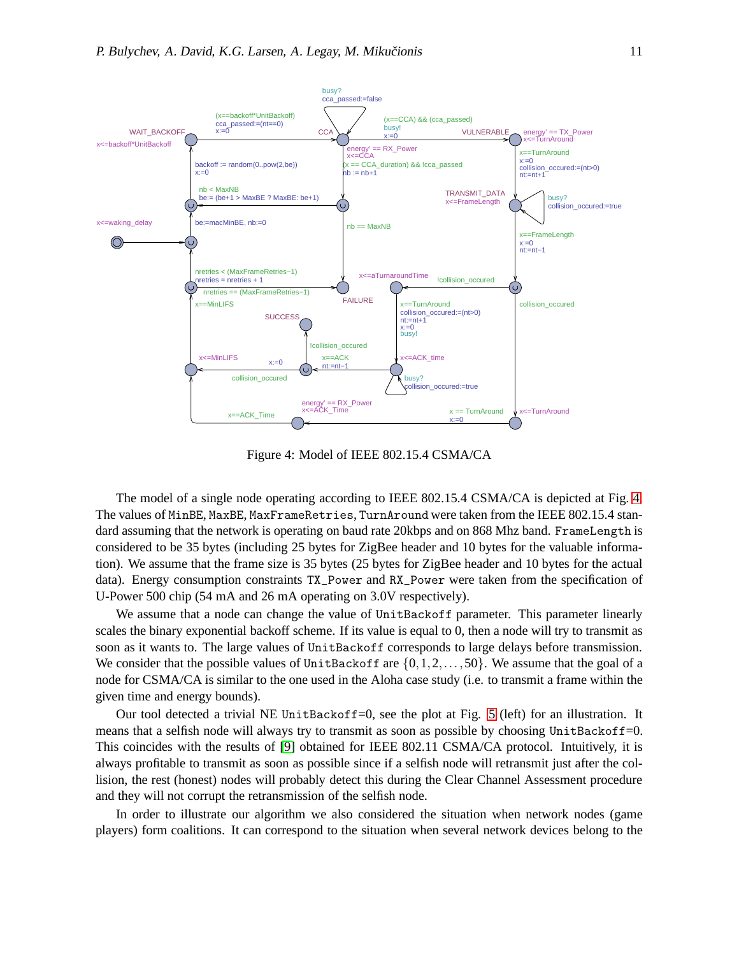

<span id="page-10-0"></span>Figure 4: Model of IEEE 802.15.4 CSMA/CA

The model of a single node operating according to IEEE 802.15.4 CSMA/CA is depicted at Fig. [4.](#page-10-0) The values of MinBE, MaxBE, MaxFrameRetries, TurnAround were taken from the IEEE 802.15.4 standard assuming that the network is operating on baud rate 20kbps and on 868 Mhz band. FrameLength is considered to be 35 bytes (including 25 bytes for ZigBee header and 10 bytes for the valuable information). We assume that the frame size is 35 bytes (25 bytes for ZigBee header and 10 bytes for the actual data). Energy consumption constraints TX\_Power and RX\_Power were taken from the specification of U-Power 500 chip (54 mA and 26 mA operating on 3.0V respectively).

We assume that a node can change the value of UnitBackoff parameter. This parameter linearly scales the binary exponential backoff scheme. If its value is equal to 0, then a node will try to transmit as soon as it wants to. The large values of UnitBackoff corresponds to large delays before transmission. We consider that the possible values of UnitBackoff are  $\{0,1,2,\ldots,50\}$ . We assume that the goal of a node for CSMA/CA is similar to the one used in the Aloha case study (i.e. to transmit a frame within the given time and energy bounds).

Our tool detected a trivial NE UnitBackoff=0, see the plot at Fig. [5](#page-11-0) (left) for an illustration. It means that a selfish node will always try to transmit as soon as possible by choosing UnitBackoff=0. This coincides with the results of [\[9\]](#page-12-1) obtained for IEEE 802.11 CSMA/CA protocol. Intuitively, it is always profitable to transmit as soon as possible since if a selfish node will retransmit just after the collision, the rest (honest) nodes will probably detect this during the Clear Channel Assessment procedure and they will not corrupt the retransmission of the selfish node.

In order to illustrate our algorithm we also considered the situation when network nodes (game players) form coalitions. It can correspond to the situation when several network devices belong to the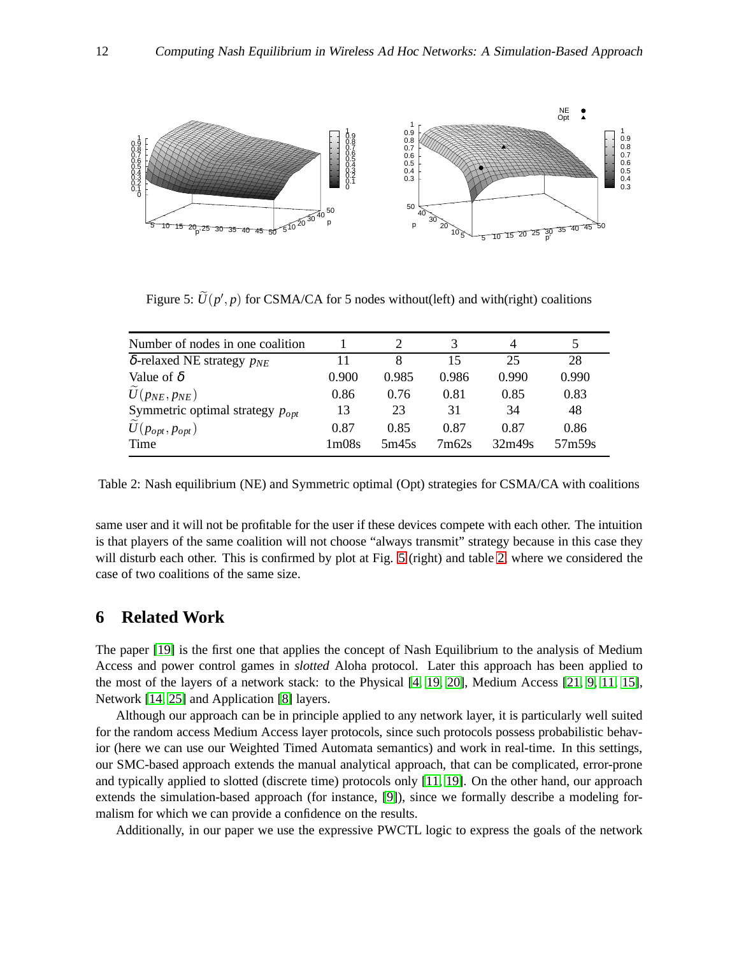

<span id="page-11-0"></span>Figure 5:  $U(p', p)$  for CSMA/CA for 5 nodes without(left) and with(right) coalitions

| Number of nodes in one coalition       |                                |       |       |        |        |
|----------------------------------------|--------------------------------|-------|-------|--------|--------|
| $\delta$ -relaxed NE strategy $p_{NE}$ | 11                             | 8     | 15    | 25     | 28     |
| Value of $\delta$                      | 0.900                          | 0.985 | 0.986 | 0.990  | 0.990  |
| $\widetilde{U}(p_{NE}, p_{NE})$        | 0.86                           | 0.76  | 0.81  | 0.85   | 0.83   |
| Symmetric optimal strategy $p_{opt}$   | 13                             | 23    | 31    | 34     | 48     |
| $U(p_{opt}, p_{opt})$                  | 0.87                           | 0.85  | 0.87  | 0.87   | 0.86   |
| Time                                   | 1 <sub>m</sub> 08 <sub>s</sub> | 5m45s | 7m62s | 32m49s | 57m59s |

<span id="page-11-1"></span>Table 2: Nash equilibrium (NE) and Symmetric optimal (Opt) strategies for CSMA/CA with coalitions

same user and it will not be profitable for the user if these devices compete with each other. The intuition is that players of the same coalition will not choose "always transmit" strategy because in this case they will disturb each other. This is confirmed by plot at Fig. [5](#page-11-0) (right) and table [2,](#page-11-1) where we considered the case of two coalitions of the same size.

# **6 Related Work**

The paper [\[19\]](#page-13-5) is the first one that applies the concept of Nash Equilibrium to the analysis of Medium Access and power control games in *slotted* Aloha protocol. Later this approach has been applied to the most of the layers of a network stack: to the Physical [\[4,](#page-12-8) [19,](#page-13-5) [20\]](#page-13-11), Medium Access [\[21,](#page-13-12) [9,](#page-12-1) [11,](#page-12-9) [15\]](#page-13-7), Network [\[14,](#page-13-13) [25\]](#page-13-14) and Application [\[8\]](#page-12-10) layers.

Although our approach can be in principle applied to any network layer, it is particularly well suited for the random access Medium Access layer protocols, since such protocols possess probabilistic behavior (here we can use our Weighted Timed Automata semantics) and work in real-time. In this settings, our SMC-based approach extends the manual analytical approach, that can be complicated, error-prone and typically applied to slotted (discrete time) protocols only [\[11,](#page-12-9) [19\]](#page-13-5). On the other hand, our approach extends the simulation-based approach (for instance, [\[9\]](#page-12-1)), since we formally describe a modeling formalism for which we can provide a confidence on the results.

Additionally, in our paper we use the expressive PWCTL logic to express the goals of the network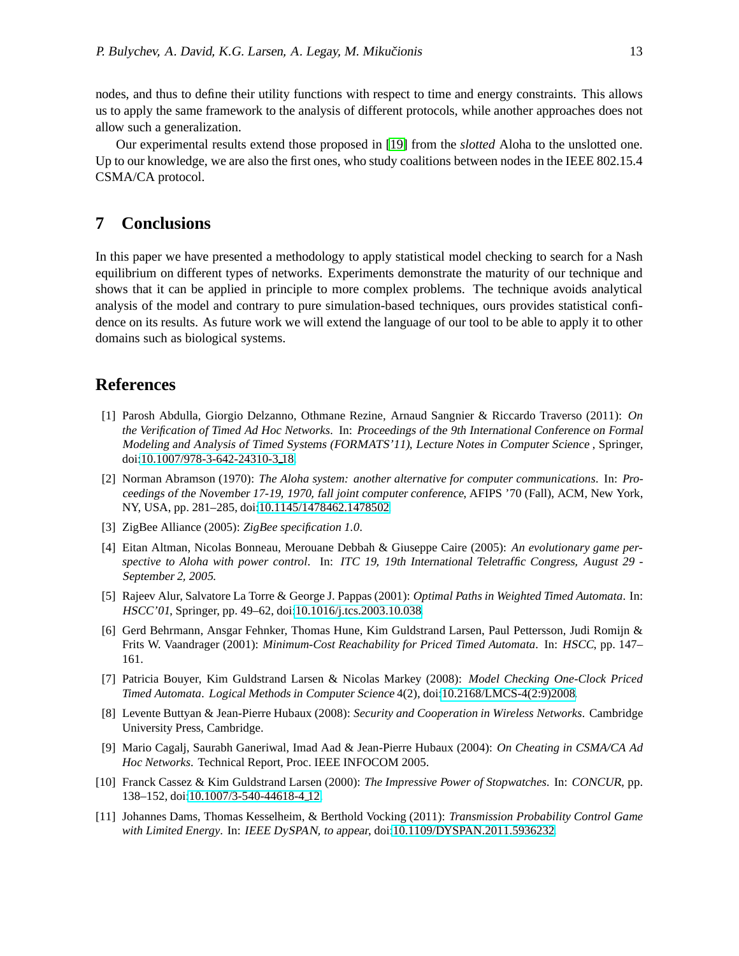nodes, and thus to define their utility functions with respect to time and energy constraints. This allows us to apply the same framework to the analysis of different protocols, while another approaches does not allow such a generalization.

Our experimental results extend those proposed in [\[19\]](#page-13-5) from the *slotted* Aloha to the unslotted one. Up to our knowledge, we are also the first ones, who study coalitions between nodes in the IEEE 802.15.4 CSMA/CA protocol.

### **7 Conclusions**

In this paper we have presented a methodology to apply statistical model checking to search for a Nash equilibrium on different types of networks. Experiments demonstrate the maturity of our technique and shows that it can be applied in principle to more complex problems. The technique avoids analytical analysis of the model and contrary to pure simulation-based techniques, ours provides statistical confidence on its results. As future work we will extend the language of our tool to be able to apply it to other domains such as biological systems.

### <span id="page-12-0"></span>**References**

- [1] Parosh Abdulla, Giorgio Delzanno, Othmane Rezine, Arnaud Sangnier & Riccardo Traverso (2011): *On the Verification of Timed Ad Hoc Networks*. In: Proceedings of the 9th International Conference on Formal Modeling and Analysis of Timed Systems (FORMATS'11), Lecture Notes in Computer Science , Springer, doi[:10.1007/978-3-642-24310-3](http://dx.doi.org/10.1007/978-3-642-24310-3_18) 18.
- <span id="page-12-6"></span>[2] Norman Abramson (1970): *The Aloha system: another alternative for computer communications*. In: Proceedings of the November 17-19, 1970, fall joint computer conference, AFIPS '70 (Fall), ACM, New York, NY, USA, pp. 281–285, doi[:10.1145/1478462.1478502.](http://dx.doi.org/10.1145/1478462.1478502)
- <span id="page-12-8"></span><span id="page-12-7"></span>[3] ZigBee Alliance (2005): *ZigBee specification 1.0*.
- [4] Eitan Altman, Nicolas Bonneau, Merouane Debbah & Giuseppe Caire (2005): *An evolutionary game perspective to Aloha with power control*. In: ITC 19, 19th International Teletraffic Congress, August <sup>29</sup> - September 2, <sup>2005</sup>.
- <span id="page-12-3"></span>[5] Rajeev Alur, Salvatore La Torre & George J. Pappas (2001): *Optimal Paths in Weighted Timed Automata*. In: HSCC'01, Springer, pp. 49–62, doi[:10.1016/j.tcs.2003.10.038.](http://dx.doi.org/10.1016/j.tcs.2003.10.038)
- <span id="page-12-2"></span>[6] Gerd Behrmann, Ansgar Fehnker, Thomas Hune, Kim Guldstrand Larsen, Paul Pettersson, Judi Romijn & Frits W. Vaandrager (2001): *Minimum-Cost Reachability for Priced Timed Automata*. In: HSCC, pp. 147– 161.
- <span id="page-12-5"></span>[7] Patricia Bouyer, Kim Guldstrand Larsen & Nicolas Markey (2008): *Model Checking One-Clock Priced Timed Automata*. Logical Methods in Computer Science 4(2), doi[:10.2168/LMCS-4\(2:9\)2008.](http://dx.doi.org/10.2168/LMCS-4(2:9)2008)
- <span id="page-12-10"></span>[8] Levente Buttyan & Jean-Pierre Hubaux (2008): *Security and Cooperation in Wireless Networks*. Cambridge University Press, Cambridge.
- <span id="page-12-1"></span>[9] Mario Cagalj, Saurabh Ganeriwal, Imad Aad & Jean-Pierre Hubaux (2004): *On Cheating in CSMA/CA Ad Hoc Networks*. Technical Report, Proc. IEEE INFOCOM 2005.
- <span id="page-12-4"></span>[10] Franck Cassez & Kim Guldstrand Larsen (2000): *The Impressive Power of Stopwatches*. In: CONCUR, pp. 138–152, doi[:10.1007/3-540-44618-4](http://dx.doi.org/10.1007/3-540-44618-4_12) 12.
- <span id="page-12-9"></span>[11] Johannes Dams, Thomas Kesselheim, & Berthold Vocking (2011): *Transmission Probability Control Game with Limited Energy*. In: IEEE DySPAN, to appear, doi[:10.1109/DYSPAN.2011.5936232.](http://dx.doi.org/10.1109/DYSPAN.2011.5936232)